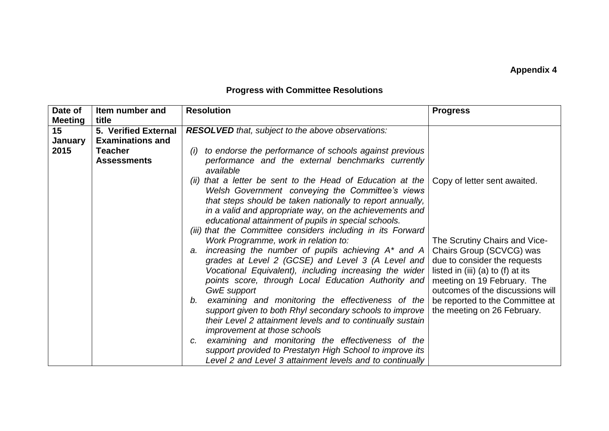## **Appendix 4**

## **Progress with Committee Resolutions**

| Date of        | Item number and         | <b>Resolution</b>                                                                                                                                                                                                                                                                                                                                                                                  | <b>Progress</b>                                                                                                                                                                                   |
|----------------|-------------------------|----------------------------------------------------------------------------------------------------------------------------------------------------------------------------------------------------------------------------------------------------------------------------------------------------------------------------------------------------------------------------------------------------|---------------------------------------------------------------------------------------------------------------------------------------------------------------------------------------------------|
| <b>Meeting</b> | title                   |                                                                                                                                                                                                                                                                                                                                                                                                    |                                                                                                                                                                                                   |
| 15             | 5. Verified External    | <b>RESOLVED</b> that, subject to the above observations:                                                                                                                                                                                                                                                                                                                                           |                                                                                                                                                                                                   |
| <b>January</b> | <b>Examinations and</b> |                                                                                                                                                                                                                                                                                                                                                                                                    |                                                                                                                                                                                                   |
| 2015           | <b>Teacher</b>          | to endorse the performance of schools against previous<br>(i)                                                                                                                                                                                                                                                                                                                                      |                                                                                                                                                                                                   |
|                | <b>Assessments</b>      | performance and the external benchmarks currently<br>available                                                                                                                                                                                                                                                                                                                                     |                                                                                                                                                                                                   |
|                |                         | (ii) that a letter be sent to the Head of Education at the $\vert$ Copy of letter sent awaited.<br>Welsh Government conveying the Committee's views<br>that steps should be taken nationally to report annually,<br>in a valid and appropriate way, on the achievements and<br>educational attainment of pupils in special schools.<br>(iii) that the Committee considers including in its Forward |                                                                                                                                                                                                   |
|                |                         | Work Programme, work in relation to:<br>a. increasing the number of pupils achieving A* and A<br>grades at Level 2 (GCSE) and Level 3 (A Level and<br>Vocational Equivalent), including increasing the wider<br>points score, through Local Education Authority and<br><b>GwE</b> support                                                                                                          | The Scrutiny Chairs and Vice-<br>Chairs Group (SCVCG) was<br>due to consider the requests<br>listed in (iii) (a) to (f) at its<br>meeting on 19 February. The<br>outcomes of the discussions will |
|                |                         | b. examining and monitoring the effectiveness of the<br>support given to both Rhyl secondary schools to improve<br>their Level 2 attainment levels and to continually sustain<br>improvement at those schools                                                                                                                                                                                      | be reported to the Committee at<br>the meeting on 26 February.                                                                                                                                    |
|                |                         | examining and monitoring the effectiveness of the<br>C.<br>support provided to Prestatyn High School to improve its<br>Level 2 and Level 3 attainment levels and to continually                                                                                                                                                                                                                    |                                                                                                                                                                                                   |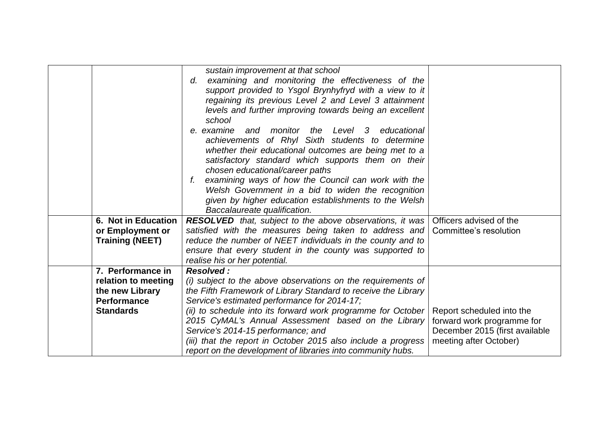|                        | sustain improvement at that school<br>examining and monitoring the effectiveness of the<br>d.<br>support provided to Ysgol Brynhyfryd with a view to it<br>regaining its previous Level 2 and Level 3 attainment<br>levels and further improving towards being an excellent<br>school<br>and monitor the Level 3<br>educational<br>e, examine<br>achievements of Rhyl Sixth students to determine<br>whether their educational outcomes are being met to a<br>satisfactory standard which supports them on their<br>chosen educational/career paths<br>examining ways of how the Council can work with the<br>f.<br>Welsh Government in a bid to widen the recognition<br>given by higher education establishments to the Welsh<br>Baccalaureate qualification. |                                |
|------------------------|-----------------------------------------------------------------------------------------------------------------------------------------------------------------------------------------------------------------------------------------------------------------------------------------------------------------------------------------------------------------------------------------------------------------------------------------------------------------------------------------------------------------------------------------------------------------------------------------------------------------------------------------------------------------------------------------------------------------------------------------------------------------|--------------------------------|
| 6. Not in Education    |                                                                                                                                                                                                                                                                                                                                                                                                                                                                                                                                                                                                                                                                                                                                                                 |                                |
|                        | <b>RESOLVED</b> that, subject to the above observations, it was Officers advised of the                                                                                                                                                                                                                                                                                                                                                                                                                                                                                                                                                                                                                                                                         |                                |
| or Employment or       | satisfied with the measures being taken to address and                                                                                                                                                                                                                                                                                                                                                                                                                                                                                                                                                                                                                                                                                                          | Committee's resolution         |
| <b>Training (NEET)</b> | reduce the number of NEET individuals in the county and to                                                                                                                                                                                                                                                                                                                                                                                                                                                                                                                                                                                                                                                                                                      |                                |
|                        | ensure that every student in the county was supported to                                                                                                                                                                                                                                                                                                                                                                                                                                                                                                                                                                                                                                                                                                        |                                |
|                        | realise his or her potential.                                                                                                                                                                                                                                                                                                                                                                                                                                                                                                                                                                                                                                                                                                                                   |                                |
| 7. Performance in      | Resolved:                                                                                                                                                                                                                                                                                                                                                                                                                                                                                                                                                                                                                                                                                                                                                       |                                |
| relation to meeting    | (i) subject to the above observations on the requirements of                                                                                                                                                                                                                                                                                                                                                                                                                                                                                                                                                                                                                                                                                                    |                                |
| the new Library        | the Fifth Framework of Library Standard to receive the Library                                                                                                                                                                                                                                                                                                                                                                                                                                                                                                                                                                                                                                                                                                  |                                |
| <b>Performance</b>     | Service's estimated performance for 2014-17;                                                                                                                                                                                                                                                                                                                                                                                                                                                                                                                                                                                                                                                                                                                    |                                |
| <b>Standards</b>       | (ii) to schedule into its forward work programme for October                                                                                                                                                                                                                                                                                                                                                                                                                                                                                                                                                                                                                                                                                                    | Report scheduled into the      |
|                        | 2015 CyMAL's Annual Assessment based on the Library                                                                                                                                                                                                                                                                                                                                                                                                                                                                                                                                                                                                                                                                                                             | forward work programme for     |
|                        | Service's 2014-15 performance; and                                                                                                                                                                                                                                                                                                                                                                                                                                                                                                                                                                                                                                                                                                                              | December 2015 (first available |
|                        | (iii) that the report in October 2015 also include a progress                                                                                                                                                                                                                                                                                                                                                                                                                                                                                                                                                                                                                                                                                                   | meeting after October)         |
|                        | report on the development of libraries into community hubs.                                                                                                                                                                                                                                                                                                                                                                                                                                                                                                                                                                                                                                                                                                     |                                |